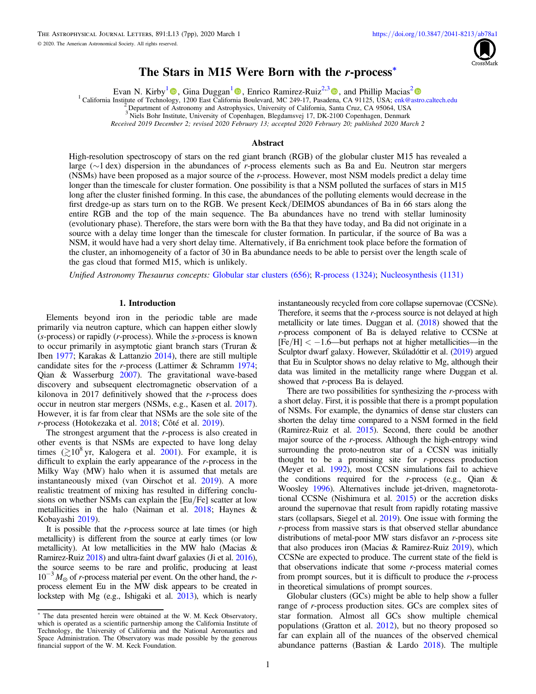

# The Stars in M15 Were Born with the r-process\*

Evan N. Kirby<sup>[1](https://orcid.org/0000-0002-9256-6735)</sup> **.** Gina Duggan<sup>1</sup> **.** Enrico Ramirez-Ruiz<sup>2[,](https://orcid.org/0000-0002-9256-6735)[3](https://orcid.org/0000-0003-2558-3102)</sup> **.** and Phillip Macias<sup>[2](https://orcid.org/0000-0002-9946-4635)</sup> **.** 

<sup>1</sup> California Institute of Technol[ogy](https://orcid.org/0000-0001-6196-5162), 1200 East Califor[nia](https://orcid.org/0000-0002-9256-6735) Boulevard, MC 249-17, Pasad[ena](https://orcid.org/0000-0003-2558-3102), CA 91125, USA; [enk@astro.caltech.edu](mailto:enk@astro.caltech.edu) <sup>2</sup> Department of Astronomy and Astrophysics, University of California, Santa Cruz, CA 95064

<sup>3</sup> Niels Bohr Institute, University of Copenhagen, Blegdamsvej 17, DK-2100 Copenhagen, Denmark

Received 2019 December 2; revised 2020 February 13; accepted 2020 February 20; published 2020 March 2

## Abstract

High-resolution spectroscopy of stars on the red giant branch (RGB) of the globular cluster M15 has revealed a large (∼1 dex) dispersion in the abundances of r-process elements such as Ba and Eu. Neutron star mergers (NSMs) have been proposed as a major source of the r-process. However, most NSM models predict a delay time longer than the timescale for cluster formation. One possibility is that a NSM polluted the surfaces of stars in M15 long after the cluster finished forming. In this case, the abundances of the polluting elements would decrease in the first dredge-up as stars turn on to the RGB. We present Keck/DEIMOS abundances of Ba in 66 stars along the entire RGB and the top of the main sequence. The Ba abundances have no trend with stellar luminosity (evolutionary phase). Therefore, the stars were born with the Ba that they have today, and Ba did not originate in a source with a delay time longer than the timescale for cluster formation. In particular, if the source of Ba was a NSM, it would have had a very short delay time. Alternatively, if Ba enrichment took place before the formation of the cluster, an inhomogeneity of a factor of 30 in Ba abundance needs to be able to persist over the length scale of the gas cloud that formed M15, which is unlikely.

Unified Astronomy Thesaurus concepts: [Globular star clusters](http://astrothesaurus.org/uat/656) (656); [R-process](http://astrothesaurus.org/uat/1324) (1324); [Nucleosynthesis](http://astrothesaurus.org/uat/1131) (1131)

# 1. Introduction

Elements beyond iron in the periodic table are made primarily via neutron capture, which can happen either slowly (s-process) or rapidly (r-process). While the s-process is known to occur primarily in asymptotic giant branch stars (Truran & Iben [1977;](#page-6-0) Karakas & Lattanzio [2014](#page-6-0)), there are still multiple candidate sites for the r-process (Lattimer & Schramm [1974](#page-6-0); Qian & Wasserburg [2007](#page-6-0)). The gravitational wave-based discovery and subsequent electromagnetic observation of a kilonova in 2017 definitively showed that the  $r$ -process does occur in neutron star mergers (NSMs, e.g., Kasen et al. [2017](#page-6-0)). However, it is far from clear that NSMs are the sole site of the r-process (Hotokezaka et al. [2018;](#page-6-0) Côté et al. [2019](#page-6-0)).

The strongest argument that the r-process is also created in other events is that NSMs are expected to have long delay times  $(2.10^8 \text{ yr}, \text{ Kalogera et al. } 2001)$  $(2.10^8 \text{ yr}, \text{ Kalogera et al. } 2001)$  $(2.10^8 \text{ yr}, \text{ Kalogera et al. } 2001)$ . For example, it is difficult to explain the early appearance of the r-process in the Milky Way (MW) halo when it is assumed that metals are instantaneously mixed (van Oirschot et al. [2019](#page-6-0)). A more realistic treatment of mixing has resulted in differing conclusions on whether NSMs can explain the [Eu/Fe] scatter at low metallicities in the halo (Naiman et al. [2018;](#page-6-0) Haynes & Kobayashi [2019](#page-6-0)).

It is possible that the r-process source at late times (or high metallicity) is different from the source at early times (or low metallicity). At low metallicities in the MW halo (Macias & Ramirez-Ruiz [2018](#page-6-0)) and ultra-faint dwarf galaxies (Ji et al. [2016](#page-6-0)), the source seems to be rare and prolific, producing at least  $10^{-3} M_{\odot}$  of *r*-process material per event. On the other hand, the *r*process element Eu in the MW disk appears to be created in lockstep with Mg (e.g., Ishigaki et al. [2013](#page-6-0)), which is nearly

instantaneously recycled from core collapse supernovae (CCSNe). Therefore, it seems that the *r*-process source is not delayed at high metallicity or late times. Duggan et al. ([2018](#page-6-0)) showed that the r-process component of Ba is delayed relative to CCSNe at  $[Fe/H] < -1.6$ —but perhaps not at higher metallicities—in the Sculptor dwarf galaxy. However, Skúladóttir et al. ([2019](#page-6-0)) argued that Eu in Sculptor shows no delay relative to Mg, although their data was limited in the metallicity range where Duggan et al. showed that *r*-process Ba is delayed.

There are two possibilities for synthesizing the r-process with a short delay. First, it is possible that there is a prompt population of NSMs. For example, the dynamics of dense star clusters can shorten the delay time compared to a NSM formed in the field (Ramirez-Ruiz et al. [2015](#page-6-0)). Second, there could be another major source of the r-process. Although the high-entropy wind surrounding the proto-neutron star of a CCSN was initially thought to be a promising site for  $r$ -process production (Meyer et al. [1992](#page-6-0)), most CCSN simulations fail to achieve the conditions required for the r-process (e.g., Qian  $\&$ Woosley [1996](#page-6-0)). Alternatives include jet-driven, magnetorotational CCSNe (Nishimura et al. [2015](#page-6-0)) or the accretion disks around the supernovae that result from rapidly rotating massive stars (collapsars, Siegel et al. [2019](#page-6-0)). One issue with forming the r-process from massive stars is that observed stellar abundance distributions of metal-poor MW stars disfavor an r-process site that also produces iron (Macias & Ramirez-Ruiz [2019](#page-6-0)), which CCSNe are expected to produce. The current state of the field is that observations indicate that some r-process material comes from prompt sources, but it is difficult to produce the  $r$ -process in theoretical simulations of prompt sources.

Globular clusters (GCs) might be able to help show a fuller range of r-process production sites. GCs are complex sites of star formation. Almost all GCs show multiple chemical populations (Gratton et al. [2012](#page-6-0)), but no theory proposed so far can explain all of the nuances of the observed chemical abundance patterns (Bastian & Lardo [2018](#page-6-0)). The multiple

<sup>\*</sup> The data presented herein were obtained at the W. M. Keck Observatory, which is operated as a scientific partnership among the California Institute of Technology, the University of California and the National Aeronautics and Space Administration. The Observatory was made possible by the generous financial support of the W. M. Keck Foundation.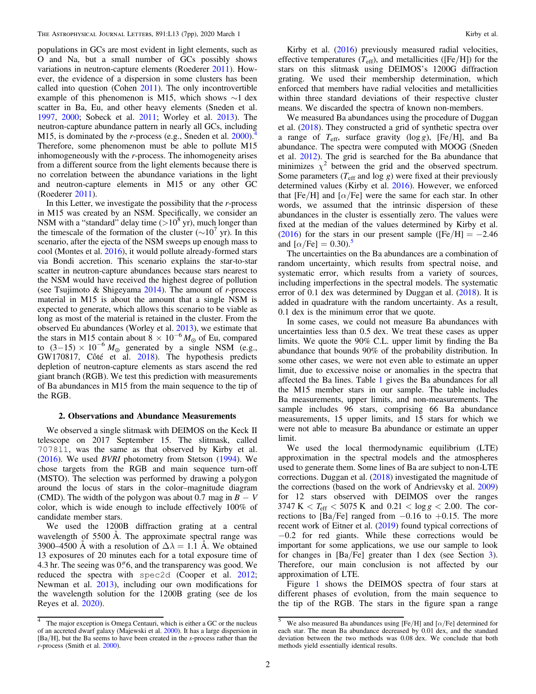populations in GCs are most evident in light elements, such as O and Na, but a small number of GCs possibly shows variations in neutron-capture elements (Roederer [2011](#page-6-0)). However, the evidence of a dispersion in some clusters has been called into question (Cohen [2011](#page-6-0)). The only incontrovertible example of this phenomenon is M15, which shows ∼1 dex scatter in Ba, Eu, and other heavy elements (Sneden et al. [1997,](#page-6-0) [2000](#page-6-0); Sobeck et al. [2011;](#page-6-0) Worley et al. [2013](#page-6-0)). The neutron-capture abundance pattern in nearly all GCs, including M15, is dominated by the r-process (e.g., Sneden et al.  $2000$ ).<sup>4</sup> Therefore, some phenomenon must be able to pollute M15 inhomogeneously with the r-process. The inhomogeneity arises from a different source from the light elements because there is no correlation between the abundance variations in the light and neutron-capture elements in M15 or any other GC (Roederer [2011](#page-6-0)).

In this Letter, we investigate the possibility that the  $r$ -process in M15 was created by an NSM. Specifically, we consider an NSM with a "standard" delay time  $(>10^8 \text{ yr})$ , much longer than the timescale of the formation of the cluster ( $\sim 10^7$  yr). In this scenario, after the ejecta of the NSM sweeps up enough mass to cool (Montes et al. [2016](#page-6-0)), it would pollute already-formed stars via Bondi accretion. This scenario explains the star-to-star scatter in neutron-capture abundances because stars nearest to the NSM would have received the highest degree of pollution (see Tsujimoto & Shigeyama  $2014$ ). The amount of *r*-process material in M15 is about the amount that a single NSM is expected to generate, which allows this scenario to be viable as long as most of the material is retained in the cluster. From the observed Eu abundances (Worley et al. [2013](#page-6-0)), we estimate that the stars in M15 contain about  $8 \times 10^{-6} M_{\odot}$  of Eu, compared to  $(3-15) \times 10^{-6} M_{\odot}$  generated by a single NSM (e.g., GW170817, Côté et al. [2018](#page-6-0)). The hypothesis predicts depletion of neutron-capture elements as stars ascend the red giant branch (RGB). We test this prediction with measurements of Ba abundances in M15 from the main sequence to the tip of the RGB.

#### 2. Observations and Abundance Measurements

We observed a single slitmask with DEIMOS on the Keck II telescope on 2017 September 15. The slitmask, called 7078l1, was the same as that observed by Kirby et al. ([2016](#page-6-0)). We used BVRI photometry from Stetson ([1994](#page-6-0)). We chose targets from the RGB and main sequence turn-off (MSTO). The selection was performed by drawing a polygon around the locus of stars in the color–magnitude diagram (CMD). The width of the polygon was about 0.7 mag in  $B - V$ color, which is wide enough to include effectively 100% of candidate member stars.

We used the 1200B diffraction grating at a central wavelength of 5500 Å. The approximate spectral range was 3900–4500 Å with a resolution of  $\Delta \lambda = 1.1$  Å. We obtained 13 exposures of 20 minutes each for a total exposure time of 4.3 hr. The seeing was  $0\rlap.{''}6$ , and the transparency was good. We reduced the spectra with spec2d (Cooper et al. [2012](#page-6-0); Newman et al. [2013](#page-6-0)), including our own modifications for the wavelength solution for the 1200B grating (see de los Reyes et al. [2020](#page-6-0)).

Kirby et al. ([2016](#page-6-0)) previously measured radial velocities, effective temperatures  $(T_{\text{eff}})$ , and metallicities ([Fe/H]) for the stars on this slitmask using DEIMOS's 1200G diffraction grating. We used their membership determination, which enforced that members have radial velocities and metallicities within three standard deviations of their respective cluster means. We discarded the spectra of known non-members.

We measured Ba abundances using the procedure of Duggan et al. ([2018](#page-6-0)). They constructed a grid of synthetic spectra over a range of  $T_{\text{eff}}$ , surface gravity (log *g*), [Fe/H], and Ba abundance. The spectra were computed with MOOG (Sneden et al. [2012](#page-6-0)). The grid is searched for the Ba abundance that minimizes  $\chi^2$  between the grid and the observed spectrum. Some parameters ( $T_{\text{eff}}$  and log g) were fixed at their previously determined values (Kirby et al. [2016](#page-6-0)). However, we enforced that [Fe/H] and [ $\alpha$ /Fe] were the same for each star. In other words, we assumed that the intrinsic dispersion of these abundances in the cluster is essentially zero. The values were fixed at the median of the values determined by Kirby et al. ([2016](#page-6-0)) for the stars in our present sample ( $[Fe/H] = -2.46$ and  $\left[\alpha/\text{Fe}\right] = 0.30$ .<sup>5</sup>

The uncertainties on the Ba abundances are a combination of random uncertainty, which results from spectral noise, and systematic error, which results from a variety of sources, including imperfections in the spectral models. The systematic error of 0.1 dex was determined by Duggan et al. ([2018](#page-6-0)). It is added in quadrature with the random uncertainty. As a result, 0.1 dex is the minimum error that we quote.

In some cases, we could not measure Ba abundances with uncertainties less than 0.5 dex. We treat these cases as upper limits. We quote the 90% C.L. upper limit by finding the Ba abundance that bounds 90% of the probability distribution. In some other cases, we were not even able to estimate an upper limit, due to excessive noise or anomalies in the spectra that affected the Ba lines. Table [1](#page-2-0) gives the Ba abundances for all the M15 member stars in our sample. The table includes Ba measurements, upper limits, and non-measurements. The sample includes 96 stars, comprising 66 Ba abundance measurements, 15 upper limits, and 15 stars for which we were not able to measure Ba abundance or estimate an upper limit.

We used the local thermodynamic equilibrium (LTE) approximation in the spectral models and the atmospheres used to generate them. Some lines of Ba are subject to non-LTE corrections. Duggan et al. ([2018](#page-6-0)) investigated the magnitude of the corrections (based on the work of Andrievsky et al. [2009](#page-6-0)) for 12 stars observed with DEIMOS over the ranges  $3747 \text{ K} < T_{\text{eff}} < 5075 \text{ K}$  and  $0.21 < \log g < 2.00$ . The corrections to [Ba/Fe] ranged from  $-0.16$  to  $+0.15$ . The more recent work of Eitner et al. ([2019](#page-6-0)) found typical corrections of −0.2 for red giants. While these corrections would be important for some applications, we use our sample to look for changes in [Ba/Fe] greater than 1 dex (see Section [3](#page-3-0)). Therefore, our main conclusion is not affected by our approximation of LTE.

Figure [1](#page-4-0) shows the DEIMOS spectra of four stars at different phases of evolution, from the main sequence to the tip of the RGB. The stars in the figure span a range

<sup>&</sup>lt;sup>4</sup> The major exception is Omega Centauri, which is either a GC or the nucleus of an accreted dwarf galaxy (Majewski et al. [2000](#page-6-0)). It has a large dispersion in [Ba/H], but the Ba seems to have been created in the s-process rather than the r-process (Smith et al. [2000](#page-6-0)).

 $\overline{5}$  We also measured Ba abundances using [Fe/H] and [ $\alpha$ /Fe] determined for each star. The mean Ba abundance decreased by 0.01 dex, and the standard deviation between the two methods was 0.08 dex. We conclude that both methods yield essentially identical results.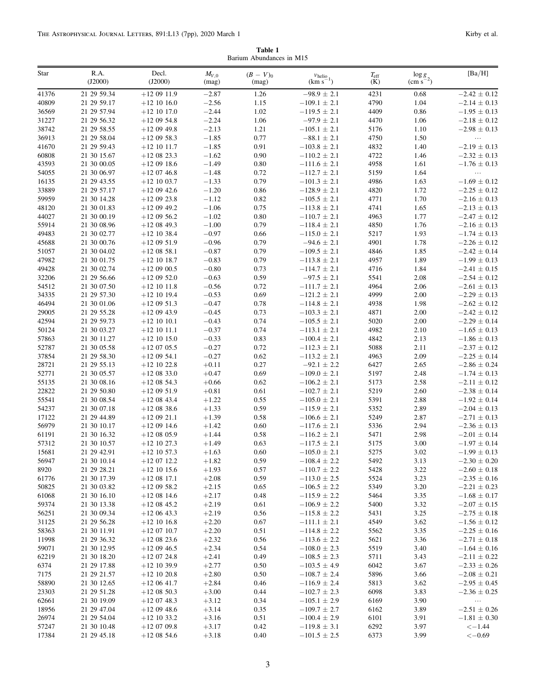Table 1 Barium Abundances in M15

<span id="page-2-0"></span>

| Star           | R.A.<br>(J2000)            | Decl.<br>(J2000)             | $M_{V,0}$<br>(mag) | $(B - V)_{0}$<br>(mag) | $v_{\text{helio}}$<br>$(km s^{-1})$  | $T_{\rm eff}$<br>(K) | $\frac{\log g}{(\text{cm s}^{-2})}$ | [Ba/H]                               |
|----------------|----------------------------|------------------------------|--------------------|------------------------|--------------------------------------|----------------------|-------------------------------------|--------------------------------------|
| 41376          | 21 29 59.34                | $+120911.9$                  | $-2.87$            | 1.26                   | $-98.9 \pm 2.1$                      | 4231                 | 0.68                                | $-2.42 \pm 0.12$                     |
| 40809          | 21 29 59.17                | $+12$ 10 16.0                | $-2.56$            | 1.15                   | $-109.1 \pm 2.1$                     | 4790                 | 1.04                                | $-2.14 \pm 0.13$                     |
| 36569          | 21 29 57.94                | $+12$ 10 17.0                | $-2.44$            | 1.02                   | $-119.5 \pm 2.1$                     | 4409                 | 0.86                                | $-1.95 \pm 0.13$                     |
| 31227          | 21 29 56.32                | $+120954.8$                  | $-2.24$            | 1.06                   | $-97.9 \pm 2.1$                      | 4470                 | 1.06                                | $-2.18 \pm 0.12$                     |
| 38742          | 21 29 58.55                | $+120949.8$                  | $-2.13$            | 1.21                   | $-105.1 \pm 2.1$                     | 5176                 | 1.10                                | $-2.98 \pm 0.13$                     |
| 36913          | 21 29 58.04                | $+120958.3$                  | $-1.85$            | 0.77                   | $-88.1 \pm 2.1$                      | 4750                 | 1.50                                | .                                    |
| 41670          | 21 29 59.43                | $+12$ 10 11.7                | $-1.85$            | 0.91                   | $-103.8 \pm 2.1$                     | 4832                 | 1.40                                | $-2.19 \pm 0.13$                     |
| 60808          | 21 30 15.67                | $+120823.3$                  | $-1.62$            | 0.90                   | $-110.2 \pm 2.1$                     | 4722                 | 1.46                                | $-2.32 \pm 0.13$                     |
| 43593          | 21 30 00.05                | $+120918.6$                  | $-1.49$            | 0.80                   | $-111.6 \pm 2.1$                     | 4958                 | 1.61                                | $-1.76 \pm 0.13$                     |
| 54055          | 21 30 06.97                | $+120746.8$                  | $-1.48$            | 0.72                   | $-112.7 \pm 2.1$                     | 5159                 | 1.64                                | .                                    |
| 16135          | 21 29 43.55                | $+12$ 10 03.7                | $-1.33$            | 0.79                   | $-101.3 \pm 2.1$                     | 4986                 | 1.63                                | $-1.69 \pm 0.12$                     |
| 33889          | 21 29 57.17                | $+120942.6$                  | $-1.20$            | 0.86                   | $-128.9 \pm 2.1$                     | 4820                 | 1.72                                | $-2.25 \pm 0.12$                     |
| 59959          | 21 30 14.28                | $+120923.8$                  | $-1.12$            | 0.82                   | $-105.5 \pm 2.1$                     | 4771                 | 1.70                                | $-2.16 \pm 0.13$                     |
| 48120          | 21 30 01.83                | $+120949.2$                  | $-1.06$            | 0.75                   | $-113.8 \pm 2.1$                     | 4741                 | 1.65                                | $-2.13 \pm 0.13$                     |
| 44027          | 21 30 00.19                | $+120956.2$                  | $-1.02$            | 0.80                   | $-110.7 \pm 2.1$                     | 4963                 | 1.77                                | $-2.47 \pm 0.12$                     |
| 55914          | 21 30 08.96                | $+120849.3$                  | $-1.00$            | 0.79                   | $-118.4 \pm 2.1$                     | 4850                 | 1.76                                | $-2.16 \pm 0.13$                     |
| 49483          | 21 30 02.77                | $+12$ 10 38.4                | $-0.97$            | 0.66                   | $-115.0 \pm 2.1$                     | 5217                 | 1.93                                | $-1.74 \pm 0.13$                     |
| 45688          | 21 30 00.76                | $+120951.9$                  | $-0.96$            | 0.79                   | $-94.6 \pm 2.1$                      | 4901                 | 1.78                                | $-2.26 \pm 0.12$                     |
| 51057          | 21 30 04.02                | $+120858.1$                  | $-0.87$            | 0.79                   | $-109.5 \pm 2.1$                     | 4846                 | 1.85                                | $-2.42 \pm 0.14$                     |
| 47982          | 21 30 01.75                | $+12$ 10 18.7                | $-0.83$            | 0.79                   | $-113.8 \pm 2.1$                     | 4957                 | 1.89                                | $-1.99 \pm 0.13$                     |
| 49428          | 21 30 02.74                | $+120900.5$                  | $-0.80$            | 0.73                   | $-114.7 \pm 2.1$                     | 4716                 | 1.84                                | $-2.41 \pm 0.15$                     |
| 32206          | 21 29 56.66                | $+120952.0$                  | $-0.63$            | 0.59                   | $-97.5 \pm 2.1$                      | 5541                 | 2.08                                | $-2.54 \pm 0.12$                     |
| 54512          | 21 30 07.50                | $+12$ 10 11.8                | $-0.56$            | 0.72                   | $-111.7 \pm 2.1$                     | 4964                 | 2.06                                | $-2.61 \pm 0.13$                     |
| 34335          | 21 29 57.30                | $+12$ 10 19.4                | $-0.53$            | 0.69                   | $-121.2 \pm 2.1$                     | 4999                 | 2.00                                | $-2.29 \pm 0.13$                     |
| 46494          | 21 30 01.06                | $+120951.3$                  | $-0.47$            | 0.78                   | $-114.8 \pm 2.1$                     | 4938                 | 1.98                                | $-2.62 \pm 0.12$                     |
| 29005          | 21 29 55.28                | $+120943.9$                  | $-0.45$            | 0.73                   | $-103.3 \pm 2.1$                     | 4871                 | 2.00                                | $-2.42\,\pm\,0.12$                   |
| 42594          | 21 29 59.73                | $+12$ 10 10.1                | $-0.43$            | 0.74                   | $-105.5 \pm 2.1$                     | 5020                 | 2.00                                | $-2.29 \pm 0.14$                     |
| 50124          | 21 30 03.27                | $+12$ 10 11.1                | $-0.37$            | 0.74                   | $-113.1 \pm 2.1$                     | 4982                 | 2.10                                | $-1.65 \pm 0.13$                     |
| 57863          | 21 30 11.27                | $+12$ 10 15.0                | $-0.33$            | 0.83                   | $-100.4 \pm 2.1$                     | 4842                 | 2.13                                | $-1.86 \pm 0.13$                     |
| 52787          | 21 30 05.58                | $+120705.5$                  | $-0.27$            | 0.72                   | $-112.3 \pm 2.1$                     | 5088                 | 2.11                                | $-2.37 \pm 0.12$                     |
| 37854          | 21 29 58.30                | $+120954.1$                  | $-0.27$            | 0.62                   | $-113.2 \pm 2.1$                     | 4963                 | 2.09                                | $-2.25 \pm 0.14$                     |
| 28721          | 21 29 55.13                | $+12$ 10 22.8                | $+0.11$            | 0.27                   | $-92.1 \pm 2.2$                      | 6427                 | 2.65                                | $-2.86 \pm 0.24$                     |
| 52771          | 21 30 05.57                | $+120833.0$                  | $+0.47$            | 0.69                   | $-109.0 \pm 2.1$                     | 5197                 | 2.48                                | $-1.74 \pm 0.13$                     |
| 55135          | 21 30 08.16                | $+12$ 08 54.3                | $+0.66$            | 0.62                   | $-106.2 \pm 2.1$                     | 5173                 | 2.58                                | $-2.11 \pm 0.12$                     |
| 22822          | 21 29 50.80                | $+120951.9$                  | $+0.81$            | 0.61                   | $-102.7 \pm 2.1$                     | 5219                 | 2.60                                | $-2.38 \pm 0.14$                     |
| 55541          | 21 30 08.54                | $+120843.4$                  | $+1.22$            | 0.55                   | $-105.0 \pm 2.1$                     | 5391                 | 2.88                                | $-1.92 \pm 0.14$                     |
| 54237          | 21 30 07.18                | $+120838.6$                  | $+1.33$            | 0.59                   | $-115.9 \pm 2.1$                     | 5352                 | 2.89                                | $-2.04 \pm 0.13$                     |
| 17122          | 21 29 44.89                | $+120921.1$                  | $+1.39$            | 0.58                   | $-106.6 \pm 2.1$                     | 5249                 | 2.87                                | $-2.71 \pm 0.13$                     |
| 56979          | 21 30 10.17                | $+120914.6$                  | $+1.42$            | 0.60                   | $-117.6 \pm 2.1$                     | 5336                 | 2.94                                | $-2.36 \pm 0.13$                     |
| 61191          | 21 30 16.32                | $+120805.9$                  | $+1.44$            | 0.58                   | $-116.2 \pm 2.1$                     | 5471                 | 2.98                                | $-2.01 \pm 0.14$                     |
| 57312          | 21 30 10.57                | $+12$ 10 27.3                | $+1.49$            | 0.63                   | $-117.5 \pm 2.1$                     | 5175                 | 3.00                                | $-1.97 \pm 0.14$                     |
| 15681          | 21 29 42.91                | $+12$ 10 57.3                | $+1.63$            | 0.60                   | $-105.0 \pm 2.1$                     | 5275                 | 3.02                                | $-1.99 \pm 0.13$                     |
| 56947          | 21 30 10.14                | $+120712.2$                  | $+1.82$            | 0.59                   | $-108.4 \pm 2.2$                     | 5492                 | 3.13                                | $-2.30 \pm 0.20$                     |
| 8920           | 21 29 28.21                | $+12$ 10 15.6                | $+1.93$            | 0.57                   | $-110.7 \pm 2.2$                     | 5428                 | 3.22                                | $-2.60 \pm 0.18$                     |
| 61776          | 21 30 17.39                | $+12$ 08 17.1                | $+2.08$            | 0.59                   | $-113.0 \pm 2.5$                     | 5524                 | 3.23                                | $-2.35 \pm 0.16$                     |
| 50825          | 21 30 03.82                | $+120958.2$                  | $+2.15$            | 0.65                   | $-106.5 \pm 2.2$                     | 5349                 | 3.20                                | $-2.21 \pm 0.23$                     |
| 61068          | 21 30 16.10                | $+120814.6$                  | $+2.17$            | 0.48                   | $-115.9 \pm 2.2$                     | 5464                 | 3.35                                | $-1.68 \pm 0.17$                     |
| 59374          | 21 30 13.38                | $+120845.2$                  | $+2.19$            | 0.61                   | $-106.9 \pm 2.2$                     | 5400                 | 3.32                                | $-2.07 \pm 0.15$                     |
| 56251          | 21 30 09.34                | $+120643.3$                  | $+2.19$            | 0.56                   | $-115.8 \pm 2.2$                     | 5431                 | 3.25                                | $-2.75 \pm 0.18$                     |
| 31125          | 21 29 56.28                | $+12$ 10 16.8                | $+2.20$            | 0.67                   | $-111.1 \pm 2.1$                     | 4549                 | 3.62                                | $-1.56 \pm 0.12$                     |
| 58363          | 21 30 11.91                | $+120710.7$                  | $+2.20$            | 0.51                   | $-114.8 \pm 2.2$                     | 5562                 | 3.35                                | $-2.25 \pm 0.16$                     |
| 11998          | 21 29 36.32                | $+120823.6$                  | $+2.32$            | 0.56                   | $-113.6 \pm 2.2$                     | 5621                 | 3.36                                | $-2.71 \pm 0.18$                     |
| 59071<br>62219 | 21 30 12.95                | $+120946.5$                  | $+2.34$            | 0.54                   | $-108.0 \pm 2.3$<br>$-108.5 \pm 2.3$ | 5519                 | 3.40                                | $-1.64 \pm 0.16$<br>$-2.11 \pm 0.22$ |
| 6374           | 21 30 18.20                | $+120724.8$                  | $+2.41$<br>$+2.77$ | 0.49                   |                                      | 5711                 | 3.43                                |                                      |
|                | 21 29 17.88                | $+12$ 10 39.9                |                    | 0.50                   | $-103.5 \pm 4.9$                     | 6042                 | 3.67                                | $-2.33 \pm 0.26$                     |
| 7175           | 21 29 21.57                | $+12$ 10 20.8                | $+2.80$            | 0.50                   | $-108.7 \pm 2.4$                     | 5896                 | 3.66                                | $-2.08 \pm 0.21$                     |
| 58890          | 21 30 12.65                | $+120641.7$                  | $+2.84$            | 0.46                   | $-116.9 \pm 2.4$                     | 5813                 | 3.62                                | $-2.95 \pm 0.45$                     |
| 23303          | 21 29 51.28                | $+120850.3$                  | $+3.00$            | 0.44                   | $-102.7 \pm 2.3$                     | 6098                 | 3.83                                | $-2.36 \pm 0.25$<br>$\ldots$         |
| 62661<br>18956 | 21 30 19.09                | $+120748.3$                  | $+3.12$            | 0.34                   | $-105.1 \pm 2.9$                     | 6169                 | 3.90                                | $-2.51 \pm 0.26$                     |
| 26974          | 21 29 47.04<br>21 29 54.04 | $+120948.6$<br>$+12$ 10 33.2 | $+3.14$<br>$+3.16$ | 0.35<br>0.51           | $-109.7 \pm 2.7$<br>$-100.4 \pm 2.9$ | 6162<br>6101         | 3.89<br>3.91                        | $-1.81\,\pm\,0.30$                   |
| 57247          | 21 30 10.48                | $+120709.8$                  | $+3.17$            | 0.42                   | $-119.8 \pm 3.1$                     | 6292                 | 3.97                                | $<-1.44$                             |
| 17384          | 21 29 45.18                | $+120854.6$                  | $+3.18$            | 0.40                   | $-101.5 \pm 2.5$                     | 6373                 | 3.99                                | $<-0.69$                             |
|                |                            |                              |                    |                        |                                      |                      |                                     |                                      |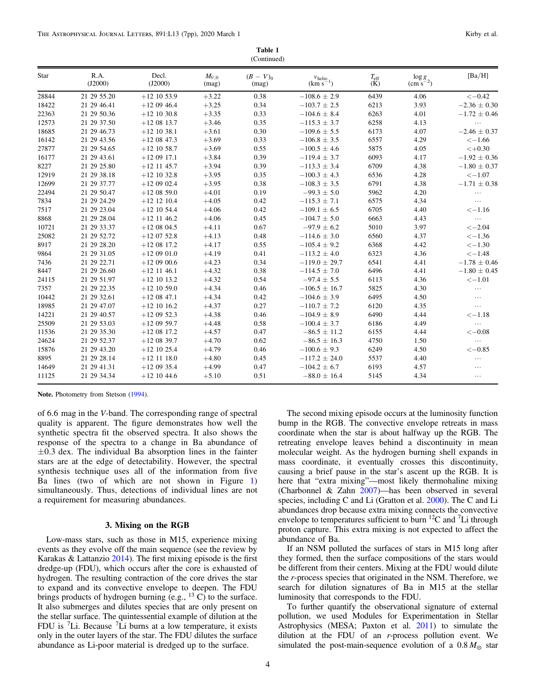| Table 1     |  |
|-------------|--|
| (Continued) |  |

<span id="page-3-0"></span>

| Star  | R.A.<br>(J2000) | Decl.<br>(J2000) | $M_{V,0}$<br>(mag) | $(B - V)_{0}$<br>(mag) | $\frac{v_{\text{helio}}}{(\text{km s}^{-1})}$ | $T_{\rm eff}$<br>(K) | $\frac{\log g}{(\text{cm s}^{-2})}$ | [Ba/H]           |
|-------|-----------------|------------------|--------------------|------------------------|-----------------------------------------------|----------------------|-------------------------------------|------------------|
| 28844 | 21 29 55.20     | $+12$ 10 53.9    | $+3.22$            | 0.38                   | $-108.6 \pm 2.9$                              | 6439                 | 4.06                                | $<-0.42$         |
| 18422 | 21 29 46.41     | $+120946.4$      | $+3.25$            | 0.34                   | $-103.7 \pm 2.5$                              | 6213                 | 3.93                                | $-2.36 \pm 0.30$ |
| 22363 | 21 29 50.36     | $+12$ 10 30.8    | $+3.35$            | 0.33                   | $-104.6 \pm 8.4$                              | 6263                 | 4.01                                | $-1.72 \pm 0.46$ |
| 12573 | 21 29 37.50     | $+12$ 08 13.7    | $+3.46$            | 0.35                   | $-115.3 \pm 3.7$                              | 6258                 | 4.13                                |                  |
| 18685 | 21 29 46.73     | $+12$ 10 38.1    | $+3.61$            | 0.30                   | $-109.6 \pm 5.5$                              | 6173                 | 4.07                                | $-2.46 \pm 0.37$ |
| 16142 | 21 29 43.56     | $+120847.3$      | $+3.69$            | 0.33                   | $-106.8 \pm 3.5$                              | 6557                 | 4.29                                | $<-1.66$         |
| 27877 | 21 29 54.65     | $+12$ 10 58.7    | $+3.69$            | 0.55                   | $-100.5 \pm 4.6$                              | 5875                 | 4.05                                | $< +0.30$        |
| 16177 | 21 29 43.61     | $+120917.1$      | $+3.84$            | 0.39                   | $-119.4 \pm 3.7$                              | 6093                 | 4.17                                | $-1.92 \pm 0.36$ |
| 8227  | 21 29 25.80     | $+12$ 11 45.7    | $+3.94$            | 0.39                   | $-113.3 \pm 3.4$                              | 6709                 | 4.38                                | $-1.80 \pm 0.37$ |
| 12919 | 21 29 38.18     | $+12$ 10 32.8    | $+3.95$            | 0.35                   | $-100.3 \pm 4.3$                              | 6536                 | 4.28                                | $<-1.07$         |
| 12699 | 21 29 37.77     | $+120902.4$      | $+3.95$            | 0.38                   | $-108.3 \pm 3.5$                              | 6791                 | 4.38                                | $-1.71 \pm 0.38$ |
| 22494 | 21 29 50.47     | $+12$ 08 59.0    | $+4.01$            | 0.19                   | $-99.3 \pm 5.0$                               | 5962                 | 4.20                                | $\ldots$         |
| 7834  | 21 29 24.29     | $+12$ 12 10.4    | $+4.05$            | 0.42                   | $-115.3 \pm 7.1$                              | 6575                 | 4.34                                | $\cdots$         |
| 7517  | 21 29 23.04     | $+12$ 10 54.4    | $+4.06$            | 0.42                   | $-109.1 \pm 6.5$                              | 6705                 | 4.40                                | $<-1.16$         |
| 8868  | 21 29 28.04     | $+12$ 11 46.2    | $+4.06$            | 0.45                   | $-104.7 \pm 5.0$                              | 6663                 | 4.43                                | $\ldots$         |
| 10721 | 21 29 33.37     | $+120804.5$      | $+4.11$            | 0.67                   | $-97.9 \pm 6.2$                               | 5010                 | 3.97                                | $<-2.04$         |
| 25082 | 21 29 52.72     | $+12$ 07 52.8    | $+4.13$            | 0.48                   | $-114.6 \pm 3.0$                              | 6560                 | 4.37                                | $<-1.36$         |
| 8917  | 21 29 28.20     | $+12$ 08 17.2    | $+4.17$            | 0.55                   | $-105.4 \pm 9.2$                              | 6368                 | 4.42                                | $<-1.30$         |
| 9864  | 21 29 31 05     | $+120901.0$      | $+4.19$            | 0.41                   | $-113.2 \pm 4.0$                              | 6323                 | 4.36                                | $<-1.48$         |
| 7436  | 21 29 22.71     | $+120900.6$      | $+4.23$            | 0.34                   | $-119.0 \pm 29.7$                             | 6541                 | 4.41                                | $-1.78 \pm 0.46$ |
| 8447  | 21 29 26.60     | $+12$ 11 46.1    | $+4.32$            | 0.38                   | $-114.5 \pm 7.0$                              | 6496                 | 4.41                                | $-1.80 \pm 0.45$ |
| 24115 | 21 29 51.97     | $+12$ 10 13.2    | $+4.32$            | 0.54                   | $-97.4 \pm 5.5$                               | 6113                 | 4.36                                | $<-1.01$         |
| 7357  | 21 29 22.35     | $+12$ 10 59.0    | $+4.34$            | 0.46                   | $-106.5 \pm 16.7$                             | 5825                 | 4.30                                | $\ldots$         |
| 10442 | 21 29 32.61     | $+120847.1$      | $+4.34$            | 0.42                   | $-104.6 \pm 3.9$                              | 6495                 | 4.50                                | .                |
| 18985 | 21 29 47.07     | $+12$ 10 16.2    | $+4.37$            | 0.27                   | $-110.7 \pm 7.2$                              | 6120                 | 4.35                                | .                |
| 14221 | 21 29 40.57     | $+120952.3$      | $+4.38$            | 0.46                   | $-104.9 \pm 8.9$                              | 6490                 | 4.44                                | $<-1.18$         |
| 25509 | 21 29 53.03     | $+120959.7$      | $+4.48$            | 0.58                   | $-100.4 \pm 3.7$                              | 6186                 | 4.49                                | $\ldots$         |
| 11536 | 21 29 35.30     | $+12$ 08 17.2    | $+4.57$            | 0.47                   | $-86.5 \pm 11.2$                              | 6155                 | 4.44                                | $<-0.08$         |
| 24624 | 21 29 52.37     | $+12$ 08 39.7    | $+4.70$            | 0.62                   | $-86.5 \pm 16.3$                              | 4750                 | 1.50                                | $\ldots$         |
| 15876 | 21 29 43.20     | $+12$ 10 25.4    | $+4.79$            | 0.46                   | $-100.6 \pm 9.3$                              | 6249                 | 4.50                                | $<-0.85$         |
| 8895  | 21 29 28.14     | $+12$ 11 18.0    | $+4.80$            | 0.45                   | $-117.2 \pm 24.0$                             | 5537                 | 4.40                                | $\ldots$         |
| 14649 | 21 29 41.31     | $+120935.4$      | $+4.99$            | 0.47                   | $-104.2 \pm 6.7$                              | 6193                 | 4.57                                | $\cdots$         |
| 11125 | 21 29 34.34     | $+12$ 10 44.6    | $+5.10$            | 0.51                   | $-88.0 \pm 16.4$                              | 5145                 | 4.34                                | $\cdots$         |
|       |                 |                  |                    |                        |                                               |                      |                                     |                  |

Note. Photometry from Stetson ([1994](#page-6-0)).

of 6.6 mag in the V-band. The corresponding range of spectral quality is apparent. The figure demonstrates how well the synthetic spectra fit the observed spectra. It also shows the response of the spectra to a change in Ba abundance of  $\pm 0.3$  dex. The individual Ba absorption lines in the fainter stars are at the edge of detectability. However, the spectral synthesis technique uses all of the information from five Ba lines (two of which are not shown in Figure [1](#page-4-0)) simultaneously. Thus, detections of individual lines are not a requirement for measuring abundances.

### 3. Mixing on the RGB

Low-mass stars, such as those in M15, experience mixing events as they evolve off the main sequence (see the review by Karakas & Lattanzio [2014](#page-6-0)). The first mixing episode is the first dredge-up (FDU), which occurs after the core is exhausted of hydrogen. The resulting contraction of the core drives the star to expand and its convective envelope to deepen. The FDU brings products of hydrogen burning  $(e.g., <sup>13</sup>C)$  to the surface. It also submerges and dilutes species that are only present on the stellar surface. The quintessential example of dilution at the FDU is  ${}^{7}$ Li. Because  ${}^{7}$ Li burns at a low temperature, it exists only in the outer layers of the star. The FDU dilutes the surface abundance as Li-poor material is dredged up to the surface.

The second mixing episode occurs at the luminosity function bump in the RGB. The convective envelope retreats in mass coordinate when the star is about halfway up the RGB. The retreating envelope leaves behind a discontinuity in mean molecular weight. As the hydrogen burning shell expands in mass coordinate, it eventually crosses this discontinuity, causing a brief pause in the star's ascent up the RGB. It is here that "extra mixing"—most likely thermohaline mixing (Charbonnel & Zahn [2007](#page-6-0))—has been observed in several species, including C and Li (Gratton et al. [2000](#page-6-0)). The C and Li abundances drop because extra mixing connects the convective envelope to temperatures sufficient to burn  ${}^{12}C$  and  ${}^{7}Li$  through proton capture. This extra mixing is not expected to affect the abundance of Ba.

If an NSM polluted the surfaces of stars in M15 long after they formed, then the surface compositions of the stars would be different from their centers. Mixing at the FDU would dilute the r-process species that originated in the NSM. Therefore, we search for dilution signatures of Ba in M15 at the stellar luminosity that corresponds to the FDU.

To further quantify the observational signature of external pollution, we used Modules for Experimentation in Stellar Astrophysics (MESA; Paxton et al. [2011](#page-6-0)) to simulate the dilution at the FDU of an r-process pollution event. We simulated the post-main-sequence evolution of a  $0.8 M_{\odot}$  star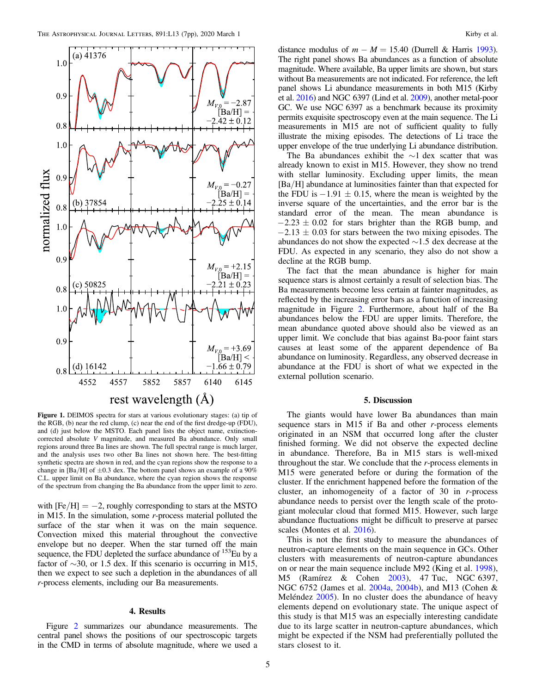<span id="page-4-0"></span>

Figure 1. DEIMOS spectra for stars at various evolutionary stages: (a) tip of the RGB, (b) near the red clump, (c) near the end of the first dredge-up (FDU), and (d) just below the MSTO. Each panel lists the object name, extinctioncorrected absolute V magnitude, and measured Ba abundance. Only small regions around three Ba lines are shown. The full spectral range is much larger, and the analysis uses two other Ba lines not shown here. The best-fitting synthetic spectra are shown in red, and the cyan regions show the response to a change in [Ba/H] of  $\pm 0.3$  dex. The bottom panel shows an example of a 90% C.L. upper limit on Ba abundance, where the cyan region shows the response of the spectrum from changing the Ba abundance from the upper limit to zero.

with  $[Fe/H] = -2$ , roughly corresponding to stars at the MSTO in M15. In the simulation, some r-process material polluted the surface of the star when it was on the main sequence. Convection mixed this material throughout the convective envelope but no deeper. When the star turned off the main sequence, the FDU depleted the surface abundance of <sup>153</sup>Eu by a factor of ∼30, or 1.5 dex. If this scenario is occurring in M15, then we expect to see such a depletion in the abundances of all r-process elements, including our Ba measurements.

# 4. Results

Figure [2](#page-5-0) summarizes our abundance measurements. The central panel shows the positions of our spectroscopic targets in the CMD in terms of absolute magnitude, where we used a distance modulus of  $m - M = 15.40$  (Durrell & Harris [1993](#page-6-0)). The right panel shows Ba abundances as a function of absolute magnitude. Where available, Ba upper limits are shown, but stars without Ba measurements are not indicated. For reference, the left panel shows Li abundance measurements in both M15 (Kirby et al. [2016](#page-6-0)) and NGC 6397 (Lind et al. [2009](#page-6-0)), another metal-poor GC. We use NGC 6397 as a benchmark because its proximity permits exquisite spectroscopy even at the main sequence. The Li measurements in M15 are not of sufficient quality to fully illustrate the mixing episodes. The detections of Li trace the upper envelope of the true underlying Li abundance distribution.

The Ba abundances exhibit the  $\sim$ 1 dex scatter that was already known to exist in M15. However, they show no trend with stellar luminosity. Excluding upper limits, the mean [Ba/H] abundance at luminosities fainter than that expected for the FDU is  $-1.91 \pm 0.15$ , where the mean is weighted by the inverse square of the uncertainties, and the error bar is the standard error of the mean. The mean abundance is  $-2.23 \pm 0.02$  for stars brighter than the RGB bump, and  $-2.13 \pm 0.03$  for stars between the two mixing episodes. The abundances do not show the expected ∼1.5 dex decrease at the FDU. As expected in any scenario, they also do not show a decline at the RGB bump.

The fact that the mean abundance is higher for main sequence stars is almost certainly a result of selection bias. The Ba measurements become less certain at fainter magnitudes, as reflected by the increasing error bars as a function of increasing magnitude in Figure [2](#page-5-0). Furthermore, about half of the Ba abundances below the FDU are upper limits. Therefore, the mean abundance quoted above should also be viewed as an upper limit. We conclude that bias against Ba-poor faint stars causes at least some of the apparent dependence of Ba abundance on luminosity. Regardless, any observed decrease in abundance at the FDU is short of what we expected in the external pollution scenario.

## 5. Discussion

The giants would have lower Ba abundances than main sequence stars in M15 if Ba and other  $r$ -process elements originated in an NSM that occurred long after the cluster finished forming. We did not observe the expected decline in abundance. Therefore, Ba in M15 stars is well-mixed throughout the star. We conclude that the r-process elements in M15 were generated before or during the formation of the cluster. If the enrichment happened before the formation of the cluster, an inhomogeneity of a factor of 30 in r-process abundance needs to persist over the length scale of the protogiant molecular cloud that formed M15. However, such large abundance fluctuations might be difficult to preserve at parsec scales (Montes et al. [2016](#page-6-0)).

This is not the first study to measure the abundances of neutron-capture elements on the main sequence in GCs. Other clusters with measurements of neutron-capture abundances on or near the main sequence include M92 (King et al. [1998](#page-6-0)), M5 (Ramírez & Cohen [2003](#page-6-0)), 47 Tuc, NGC 6397, NGC 6752 (James et al. [2004a,](#page-6-0) [2004b](#page-6-0)), and M13 (Cohen & Meléndez [2005](#page-6-0)). In no cluster does the abundance of heavy elements depend on evolutionary state. The unique aspect of this study is that M15 was an especially interesting candidate due to its large scatter in neutron-capture abundances, which might be expected if the NSM had preferentially polluted the stars closest to it.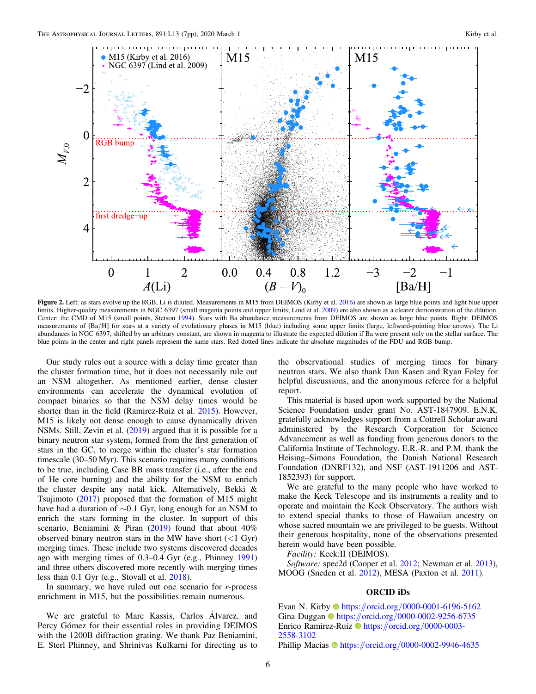<span id="page-5-0"></span>

Figure 2. Left: as stars evolve up the RGB, Li is diluted. Measurements in M15 from DEIMOS (Kirby et al. [2016](#page-6-0)) are shown as large blue points and light blue upper limits. Higher-quality measurements in NGC 6397 (small magenta points and upper limits; Lind et al. [2009](#page-6-0)) are also shown as a clearer demonstration of the dilution. Center: the CMD of M15 (small points, Stetson [1994](#page-6-0)). Stars with Ba abundance measurements from DEIMOS are shown as large blue points. Right: DEIMOS measurements of [Ba/H] for stars at a variety of evolutionary phases in M15 (blue) including some upper limits (large, leftward-pointing blue arrows). The Li abundances in NGC 6397, shifted by an arbitrary constant, are shown in magenta to illustrate the expected dilution if Ba were present only on the stellar surface. The blue points in the center and right panels represent the same stars. Red dotted lines indicate the absolute magnitudes of the FDU and RGB bump.

Our study rules out a source with a delay time greater than the cluster formation time, but it does not necessarily rule out an NSM altogether. As mentioned earlier, dense cluster environments can accelerate the dynamical evolution of compact binaries so that the NSM delay times would be shorter than in the field (Ramirez-Ruiz et al. [2015](#page-6-0)). However, M15 is likely not dense enough to cause dynamically driven NSMs. Still, Zevin et al. ([2019](#page-6-0)) argued that it is possible for a binary neutron star system, formed from the first generation of stars in the GC, to merge within the cluster's star formation timescale (30–50 Myr). This scenario requires many conditions to be true, including Case BB mass transfer (i.e., after the end of He core burning) and the ability for the NSM to enrich the cluster despite any natal kick. Alternatively, Bekki & Tsujimoto ([2017](#page-6-0)) proposed that the formation of M15 might have had a duration of ∼0.1 Gyr, long enough for an NSM to enrich the stars forming in the cluster. In support of this scenario, Beniamini & Piran ([2019](#page-6-0)) found that about 40% observed binary neutron stars in the MW have short  $(<1$  Gyr) merging times. These include two systems discovered decades ago with merging times of 0.3–0.4 Gyr (e.g., Phinney [1991](#page-6-0)) and three others discovered more recently with merging times less than 0.1 Gyr (e.g., Stovall et al. [2018](#page-6-0)).

In summary, we have ruled out one scenario for  $r$ -process enrichment in M15, but the possibilities remain numerous.

We are grateful to Marc Kassis, Carlos Álvarez, and Percy Gómez for their essential roles in providing DEIMOS with the 1200B diffraction grating. We thank Paz Beniamini, E. Sterl Phinney, and Shrinivas Kulkarni for directing us to

the observational studies of merging times for binary neutron stars. We also thank Dan Kasen and Ryan Foley for helpful discussions, and the anonymous referee for a helpful report.

This material is based upon work supported by the National Science Foundation under grant No. AST-1847909. E.N.K. gratefully acknowledges support from a Cottrell Scholar award administered by the Research Corporation for Science Advancement as well as funding from generous donors to the California Institute of Technology. E.R.-R. and P.M. thank the Heising–Simons Foundation, the Danish National Research Foundation (DNRF132), and NSF (AST-1911206 and AST-1852393) for support.

We are grateful to the many people who have worked to make the Keck Telescope and its instruments a reality and to operate and maintain the Keck Observatory. The authors wish to extend special thanks to those of Hawaiian ancestry on whose sacred mountain we are privileged to be guests. Without their generous hospitality, none of the observations presented herein would have been possible.

Facility: Keck:II (DEIMOS).

Software: spec2d (Cooper et al. [2012;](#page-6-0) Newman et al. [2013](#page-6-0)), MOOG (Sneden et al. [2012](#page-6-0)), MESA (Paxton et al. [2011](#page-6-0)).

# ORCID iDs

Evan N. Kirby <sup>th</sup> [https:](https://orcid.org/0000-0001-6196-5162)//orcid.org/[0000-0001-6196-5162](https://orcid.org/0000-0001-6196-5162) Gina Duggan <sup>to</sup> [https:](https://orcid.org/0000-0002-9256-6735)//orcid.org/[0000-0002-9256-6735](https://orcid.org/0000-0002-9256-6735) Enrico Ramirez-Ruiz **[https:](https://orcid.org/0000-0003-2558-3102)//orcid.org/[0000-0003-](https://orcid.org/0000-0003-2558-3102)** [2558-3102](https://orcid.org/0000-0003-2558-3102) Phillip Macias  $\Phi$  [https:](https://orcid.org/0000-0002-9946-4635)//orcid.org/[0000-0002-9946-4635](https://orcid.org/0000-0002-9946-4635)